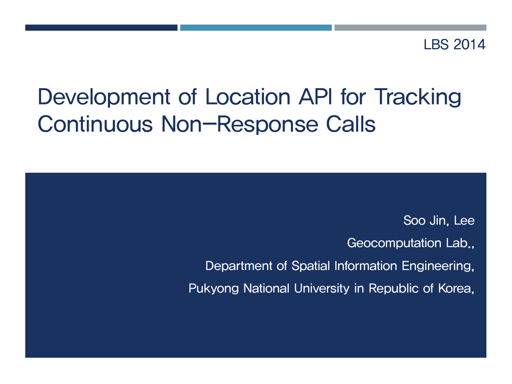LBS 2014

# Development of Location API for Tracking Continuous Non-Response Calls

Soo Jin, Lee Geocomputation Lab., Department of Spatial Information Engineering, Pukyong National University in Republic of Korea,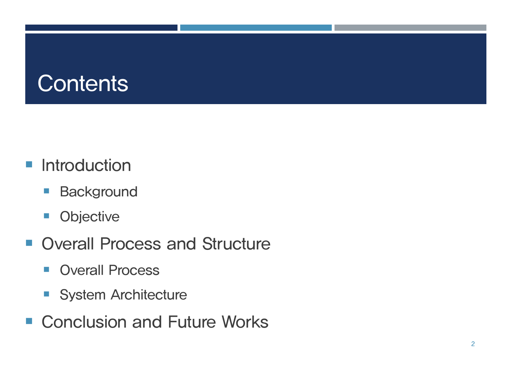## **Contents**

- **Introduction** 
	- **Background**
	- **•** Objective
- **Overall Process and Structure** 
	- **Overall Process**
	- System Architecture
- Conclusion and Future Works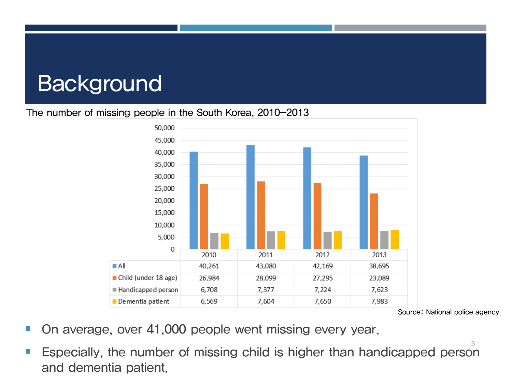#### The number of missing people in the South Korea, 2010-2013



Source: National police agency

- On average, over 41,000 people went missing every year.
- Especially, the number of missing child is higher than handicapped person and dementia patient.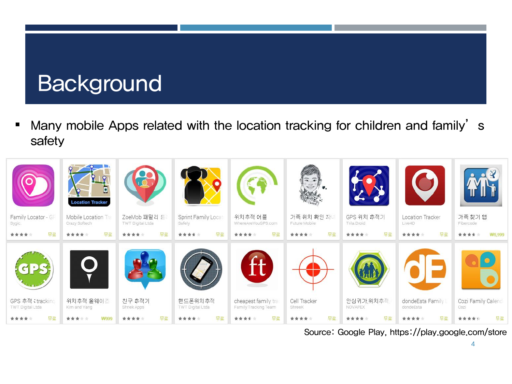Many mobile Apps related with the location tracking for children and family's safety



Source: Google Play, https://play.google.com/store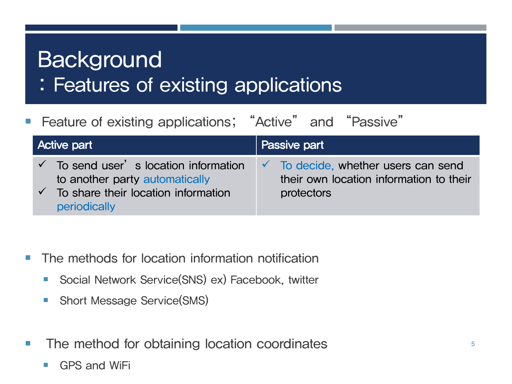: Features of existing applications

| ■ Feature of existing applications; "Active" and "Passive"                                                                                                          |                                                                                                         |
|---------------------------------------------------------------------------------------------------------------------------------------------------------------------|---------------------------------------------------------------------------------------------------------|
| <b>Active part</b>                                                                                                                                                  | Passive part                                                                                            |
| $\checkmark$ To send user $\checkmark$ s location information<br>to another party automatically<br>$\checkmark$ To share their location information<br>periodically | $\checkmark$ To decide, whether users can send<br>their own location information to their<br>protectors |

- **The methods for location information notification** 
	- Social Network Service(SNS) ex) Facebook, twitter
	- **Short Message Service(SMS)**
- **The method for obtaining location coordinates** 
	- GPS and WiFi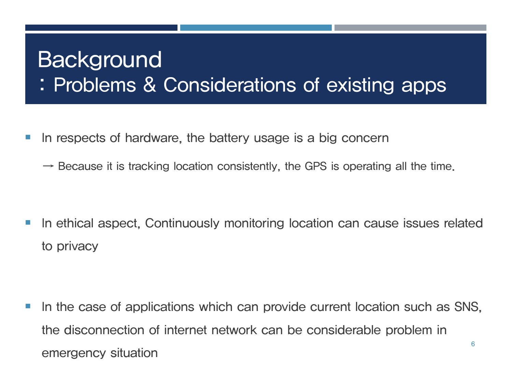: Problems & Considerations of existing apps

- I In respects of hardware, the battery usage is a big concern
	- $\rightarrow$  Because it is tracking location consistently, the GPS is operating all the time.

**If any otherm in the late of the state of the lines is a state is sues related** in the line of the lated to privacy

In the case of applications which can provide current location such as SNS, the disconnection of internet network can be considerable problem in emergency situation 6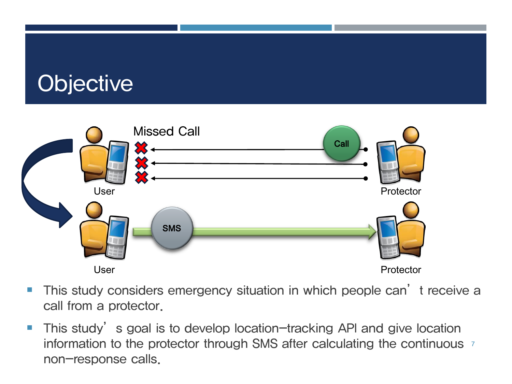# **Objective**



- **This study considers emergency situation in which people can't receive a** call from a protector.
- **This study's goal is to develop location-tracking API and give location** information to the protector through SMS after calculating the continuous <sup>7</sup> non-response calls.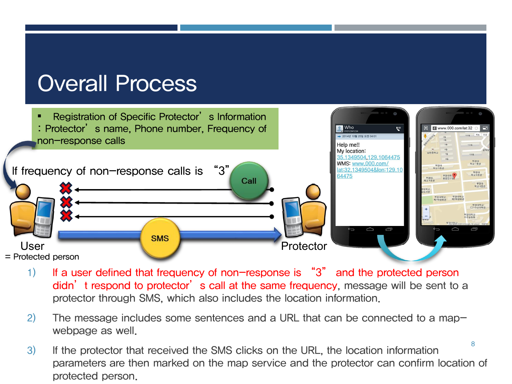### Overall Process



- 1) If a user defined that frequency of non-response is "3" and the protected person didn't respond to protector's call at the same frequency, message will be sent to a protector through SMS, which also includes the location information.
- 2) The message includes some sentences and a URL that can be connected to a mapwebpage as well.
- 8 3) If the protector that received the SMS clicks on the URL, the location information parameters are then marked on the map service and the protector can confirm location of protected person.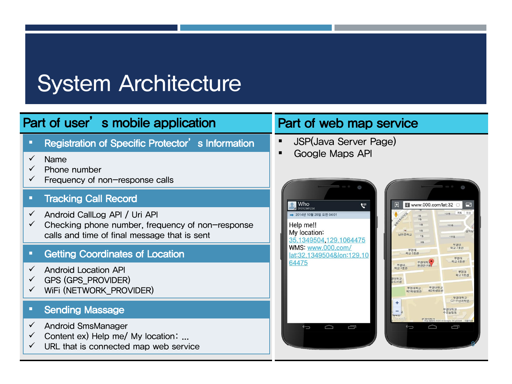### Part of user's mobile application Part of web map service

**EXEC** Registration of Specific Protector's Information

- $\checkmark$  Name
- $\checkmark$  Phone number
- $\checkmark$  Frequency of non-response calls

#### **Tracking Call Record**

- $\checkmark$  Android CallLog API / Uri API
- $\checkmark$  Checking phone number, frequency of non-response calls and time of final message that is sent

#### **EXECO** Coordinates of Location

- $\checkmark$  Android Location API
- $\checkmark$  GPS (GPS PROVIDER)
- $V$  WiFi (NETWORK\_PROVIDER)

#### **• Sending Massage**

- $\checkmark$  Android SmsManager
- $\checkmark$  Content ex) Help me/ My location: ...
- $\checkmark$  URL that is connected map web service

- JSP(Java Server Page)
- Google Maps API



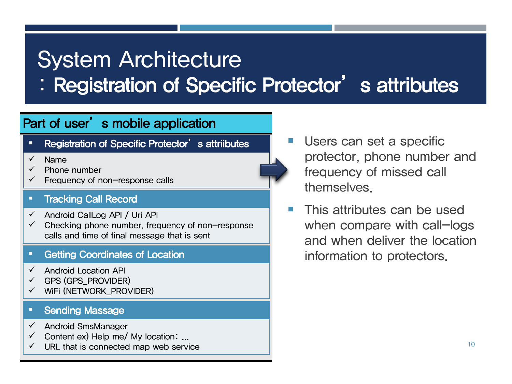: Registration of Specific Protector's attributes

### Part of user's mobile application

- " Registration of Specific Protector's attriibutes
- Name Name
- Phone number Phone number
- Frequency of non-response calls Frequency of non-response calls

#### Tracking Call Record Tracking Call Record

- $\checkmark$  Android CallLog API / Uri API
- $\checkmark$  Checking phone number, frequency of non-response calls and time of final message that is sent

#### **Getting Coordinates of Location**

- $\checkmark$  Android Location API
- GPS (GPS\_PROVIDER) GPS (GPS\_PROVIDER)
- $\checkmark$  WiFi (NETWORK\_PROVIDER)

#### **Sending Massage**

- Android SmsManager Android SmsManager
- $\checkmark$  Content ex) Help me/ My location: ...
- $\checkmark$  URL that is connected map web service
- Users can set a specific protector, phone number and frequency of missed call themselves.
- **This attributes can be used** when compare with call-logs and when deliver the location information to protectors.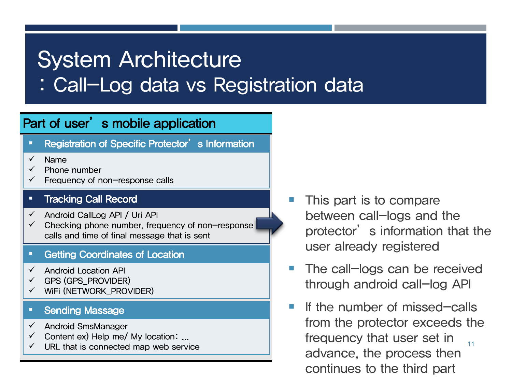: Call-Log data vs Registration data

### Part of user's mobile application

- **EXEC** Registration of Specific Protector's Information
- Name Name
- Phone number Phone number
- $\checkmark$  Frequency of non-response calls

#### Tracking Call Record Tracking Call Record

- $\checkmark$  Android CallLog API / Uri API
- $\checkmark$  Checking phone number, frequency of non-response calls and time of final message that is sent

#### **Getting Coordinates of Location**

- $\checkmark$  Android Location API
- GPS (GPS\_PROVIDER) GPS (GPS\_PROVIDER)
- $\checkmark$  WiFi (NETWORK\_PROVIDER)

#### **Sending Massage**

- Android SmsManager Android SmsManager
- $\checkmark$  Content ex) Help me/ My location: ...
- $\checkmark$  URL that is connected map web service
- This part is to compare between call-logs and the protector' s information that the user already registered
- The call-logs can be received through android call-log API
- 11 **If the number of missed-calls** from the protector exceeds the frequency that user set in advance, the process then continues to the third part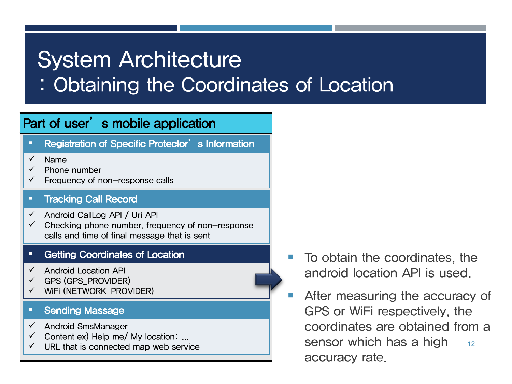: Obtaining the Coordinates of Location

### Part of user's mobile application

- **EXEC** Registration of Specific Protector's Information
- Name Name
- Phone number Phone number
- $\checkmark$  Frequency of non-response calls

#### Tracking Call Record Tracking Call Record

- $\checkmark$  Android CallLog API / Uri API
- $\checkmark$  Checking phone number, frequency of non-response calls and time of final message that is sent

#### **Getting Coordinates of Location**

- $\checkmark$  Android Location API
- GPS (GPS\_PROVIDER) GPS (GPS\_PROVIDER)
- $\checkmark$  WiFi (NETWORK\_PROVIDER)

#### **Sending Massage**

- Android SmsManager Android SmsManager
- $\checkmark$  Content ex) Help me/ My location: ...
- $\checkmark$  URL that is connected map web service
- To obtain the coordinates, the android location API is used.
- 12 **EXECUTE:** After measuring the accuracy of GPS or WiFi respectively, the coordinates are obtained from a sensor which has a high accuracy rate.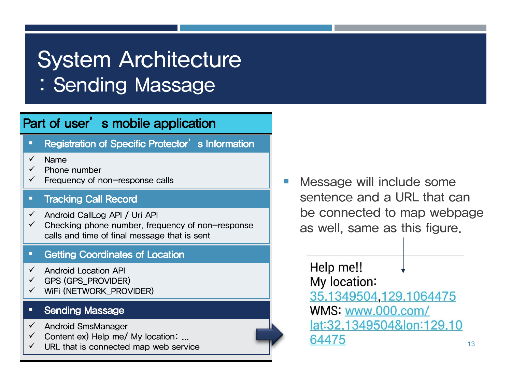: Sending Massage

### Part of user's mobile application

- **EXEC** Registration of Specific Protector's Information
- Name Name
- Phone number Phone number
- $\checkmark$  Frequency of non-response calls

#### Tracking Call Record Tracking Call Record

- $\checkmark$  Android CallLog API / Uri API
- $\checkmark$  Checking phone number, frequency of non-response calls and time of final message that is sent

#### **Getting Coordinates of Location**

- $\checkmark$  Android Location API
- GPS (GPS\_PROVIDER) GPS (GPS\_PROVIDER)
- $\checkmark$  WiFi (NETWORK\_PROVIDER)

#### **Sending Massage**

- Android SmsManager Android SmsManager
- $\checkmark$  Content ex) Help me/ My location: ...
- $\checkmark$  URL that is connected map web service

**Message will include some** sentence and a URL that can be connected to map webpage as well, same as this figure.

> Help me!! My location: 35.1349504,129.1064475 WMS: www.000.com/ lat:32.1349504&lon:129.10 64475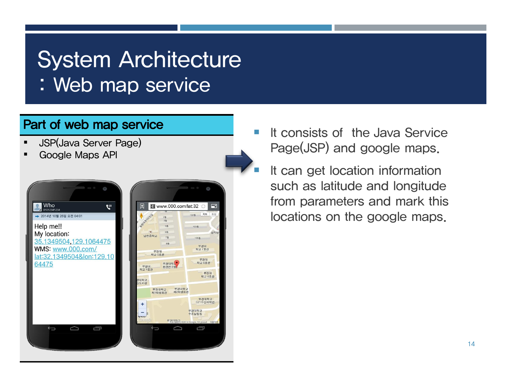: Web map service

### Part of web map service

- JSP(Java Server Page)
- Google Maps API



- It consists of the Java Service Page(JSP) and google maps.
- It can get location information such as latitude and longitude from parameters and mark this locations on the google maps.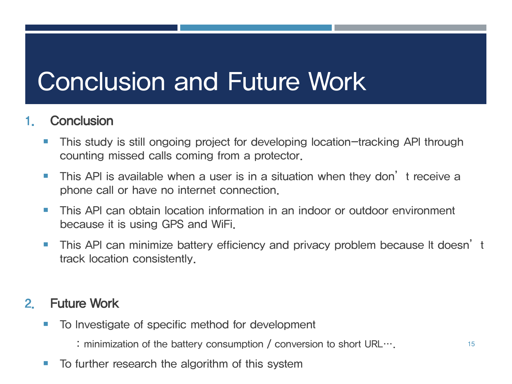# Conclusion and Future Work

### **Conclusion**

- **This study is still ongoing project for developing location-tracking API through** counting missed calls coming from a protector.
- **This API is available when a user is in a situation when they don't receive a** phone call or have no internet connection.
- **This API can obtain location information in an indoor or outdoor environment** because it is using GPS and WiFi.
- **This API can minimize battery efficiency and privacy problem because It doesn't** track location consistently.

### 2. Future Work

- To Investigate of specific method for development
	- : minimization of the battery consumption / conversion to short URL….
- $\blacksquare$  To further research the algorithm of this system